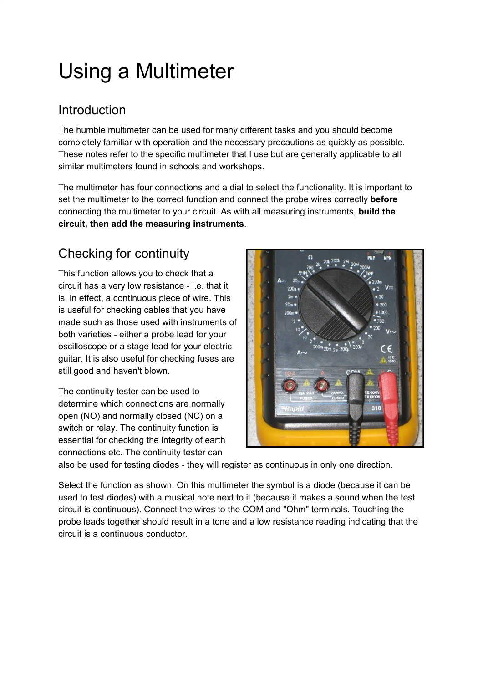# Using a Multimeter

#### Introduction

The humble multimeter can be used for many different tasks and you should become completely familiar with operation and the necessary precautions as quickly as possible. These notes refer to the specific multimeter that I use but are generally applicable to all similar multimeters found in schools and workshops.

The multimeter has four connections and a dial to select the functionality. It is important to set the multimeter to the correct function and connect the probe wires correctly **before** connecting the multimeter to your circuit. As with all measuring instruments, **build the circuit, then add the measuring instruments**.

## Checking for continuity

This function allows you to check that a circuit has a very low resistance - i.e. that it is, in effect, a continuous piece of wire. This is useful for checking cables that you have made such as those used with instruments of both varieties - either a probe lead for your oscilloscope or a stage lead for your electric guitar. It is also useful for checking fuses are still good and haven't blown.

The continuity tester can be used to determine which connections are normally open (NO) and normally closed (NC) on a switch or relay. The continuity function is essential for checking the integrity of earth connections etc. The continuity tester can



also be used for testing diodes - they will register as continuous in only one direction.

Select the function as shown. On this multimeter the symbol is a diode (because it can be used to test diodes) with a musical note next to it (because it makes a sound when the test circuit is continuous). Connect the wires to the COM and "Ohm" terminals. Touching the probe leads together should result in a tone and a low resistance reading indicating that the circuit is a continuous conductor.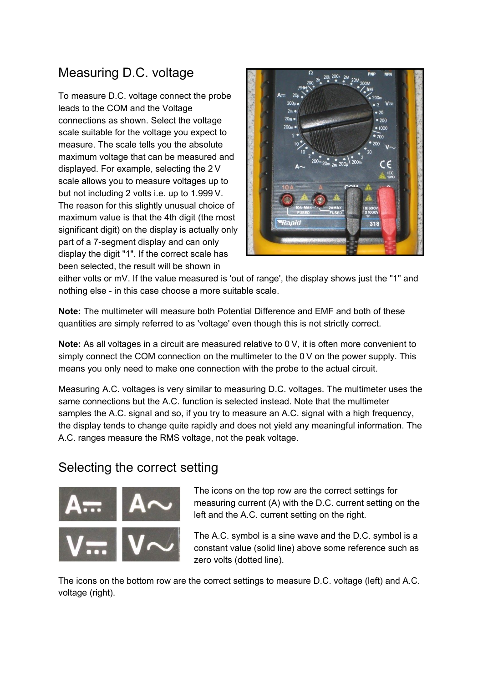### Measuring D.C. voltage

To measure D.C. voltage connect the probe leads to the COM and the Voltage connections as shown. Select the voltage scale suitable for the voltage you expect to measure. The scale tells you the absolute maximum voltage that can be measured and displayed. For example, selecting the 2 V scale allows you to measure voltages up to but not including 2 volts i.e. up to 1.999 V. The reason for this slightly unusual choice of maximum value is that the 4th digit (the most significant digit) on the display is actually only part of a 7-segment display and can only display the digit "1". If the correct scale has been selected, the result will be shown in



either volts or mV. If the value measured is 'out of range', the display shows just the "1" and nothing else - in this case choose a more suitable scale.

**Note:** The multimeter will measure both Potential Difference and EMF and both of these quantities are simply referred to as 'voltage' even though this is not strictly correct.

**Note:** As all voltages in a circuit are measured relative to 0 V, it is often more convenient to simply connect the COM connection on the multimeter to the 0 V on the power supply. This means you only need to make one connection with the probe to the actual circuit.

Measuring A.C. voltages is very similar to measuring D.C. voltages. The multimeter uses the same connections but the A.C. function is selected instead. Note that the multimeter samples the A.C. signal and so, if you try to measure an A.C. signal with a high frequency, the display tends to change quite rapidly and does not yield any meaningful information. The A.C. ranges measure the RMS voltage, not the peak voltage.

#### Selecting the correct setting



The icons on the top row are the correct settings for measuring current (A) with the D.C. current setting on the left and the A.C. current setting on the right.

The A.C. symbol is a sine wave and the D.C. symbol is a constant value (solid line) above some reference such as zero volts (dotted line).

The icons on the bottom row are the correct settings to measure D.C. voltage (left) and A.C. voltage (right).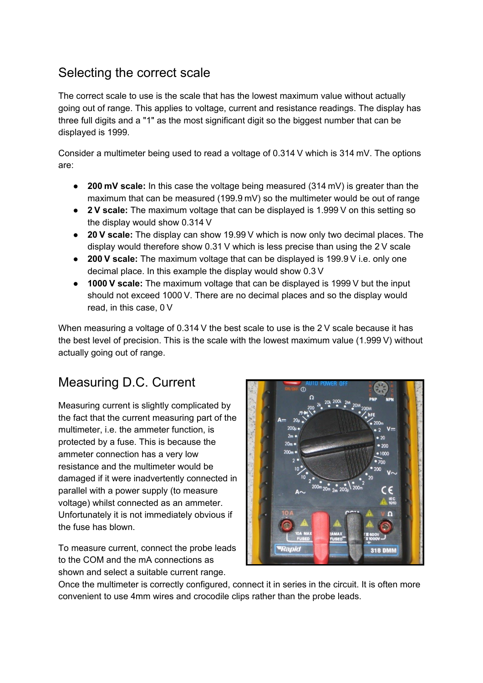#### Selecting the correct scale

The correct scale to use is the scale that has the lowest maximum value without actually going out of range. This applies to voltage, current and resistance readings. The display has three full digits and a "1" as the most significant digit so the biggest number that can be displayed is 1999.

Consider a multimeter being used to read a voltage of 0.314 V which is 314 mV. The options are:

- **200 mV scale:** In this case the voltage being measured (314 mV) is greater than the maximum that can be measured (199.9 mV) so the multimeter would be out of range
- **2 V scale:** The maximum voltage that can be displayed is 1.999 V on this setting so the display would show 0.314 V
- **20 V scale:** The display can show 19.99 V which is now only two decimal places. The display would therefore show 0.31 V which is less precise than using the 2 V scale
- **200 V scale:** The maximum voltage that can be displayed is 199.9 V i.e. only one decimal place. In this example the display would show 0.3 V
- **1000 V scale:** The maximum voltage that can be displayed is 1999 V but the input should not exceed 1000 V. There are no decimal places and so the display would read, in this case, 0 V

When measuring a voltage of 0.314 V the best scale to use is the 2 V scale because it has the best level of precision. This is the scale with the lowest maximum value (1.999 V) without actually going out of range.

#### Measuring D.C. Current

Measuring current is slightly complicated by the fact that the current measuring part of the multimeter, i.e. the ammeter function, is protected by a fuse. This is because the ammeter connection has a very low resistance and the multimeter would be damaged if it were inadvertently connected in parallel with a power supply (to measure voltage) whilst connected as an ammeter. Unfortunately it is not immediately obvious if the fuse has blown.

To measure current, connect the probe leads to the COM and the mA connections as shown and select a suitable current range.



Once the multimeter is correctly configured, connect it in series in the circuit. It is often more convenient to use 4mm wires and crocodile clips rather than the probe leads.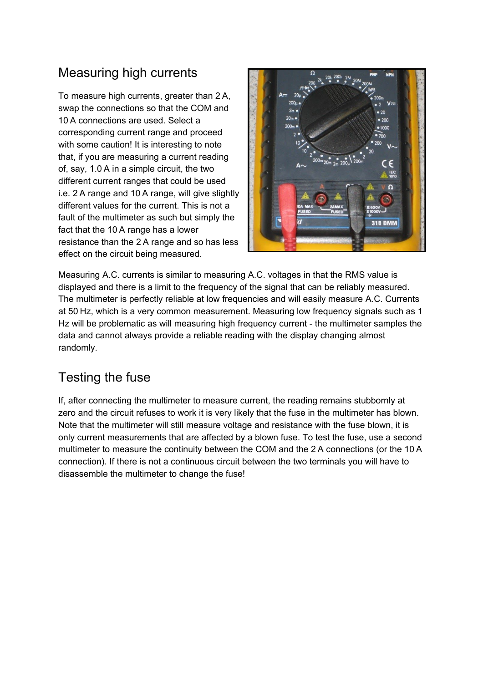### Measuring high currents

To measure high currents, greater than 2 A, swap the connections so that the COM and 10 A connections are used. Select a corresponding current range and proceed with some caution! It is interesting to note that, if you are measuring a current reading of, say, 1.0 A in a simple circuit, the two different current ranges that could be used i.e. 2 A range and 10 A range, will give slightly different values for the current. This is not a fault of the multimeter as such but simply the fact that the 10 A range has a lower resistance than the 2 A range and so has less effect on the circuit being measured.



Measuring A.C. currents is similar to measuring A.C. voltages in that the RMS value is displayed and there is a limit to the frequency of the signal that can be reliably measured. The multimeter is perfectly reliable at low frequencies and will easily measure A.C. Currents at 50 Hz, which is a very common measurement. Measuring low frequency signals such as 1 Hz will be problematic as will measuring high frequency current - the multimeter samples the data and cannot always provide a reliable reading with the display changing almost randomly.

#### Testing the fuse

If, after connecting the multimeter to measure current, the reading remains stubbornly at zero and the circuit refuses to work it is very likely that the fuse in the multimeter has blown. Note that the multimeter will still measure voltage and resistance with the fuse blown, it is only current measurements that are affected by a blown fuse. To test the fuse, use a second multimeter to measure the continuity between the COM and the 2 A connections (or the 10 A connection). If there is not a continuous circuit between the two terminals you will have to disassemble the multimeter to change the fuse!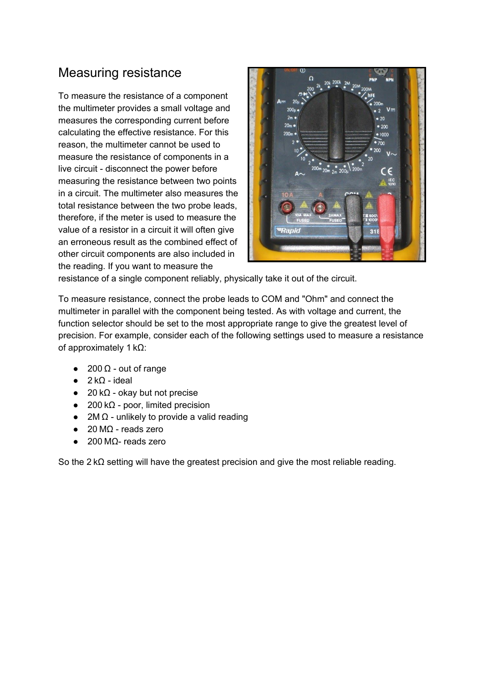#### Measuring resistance

To measure the resistance of a component the multimeter provides a small voltage and measures the corresponding current before calculating the effective resistance. For this reason, the multimeter cannot be used to measure the resistance of components in a live circuit - disconnect the power before measuring the resistance between two points in a circuit. The multimeter also measures the total resistance between the two probe leads, therefore, if the meter is used to measure the value of a resistor in a circuit it will often give an erroneous result as the combined effect of other circuit components are also included in the reading. If you want to measure the



resistance of a single component reliably, physically take it out of the circuit.

To measure resistance, connect the probe leads to COM and "Ohm" and connect the multimeter in parallel with the component being tested. As with voltage and current, the function selector should be set to the most appropriate range to give the greatest level of precision. For example, consider each of the following settings used to measure a resistance of approximately 1 kΩ:

- $200 Ω out of range$
- $\bullet$  2 kΩ ideal
- 20 k $\Omega$  okay but not precise
- $\bullet$  200 k $\Omega$  poor, limited precision
- 2M  $\Omega$  unlikely to provide a valid reading
- $\bullet$  20 M $\Omega$  reads zero
- $\bullet$  200 MΩ- reads zero

So the 2 kΩ setting will have the greatest precision and give the most reliable reading.